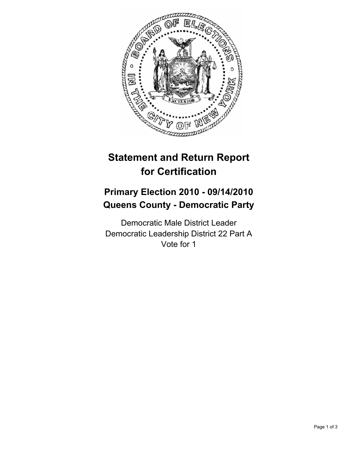

# **Statement and Return Report for Certification**

## **Primary Election 2010 - 09/14/2010 Queens County - Democratic Party**

Democratic Male District Leader Democratic Leadership District 22 Part A Vote for 1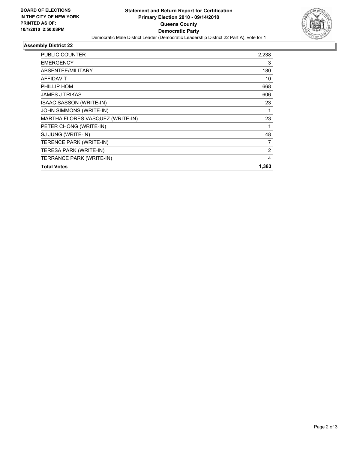

### **Assembly District 22**

| PUBLIC COUNTER                   | 2,238 |
|----------------------------------|-------|
| <b>EMERGENCY</b>                 | 3     |
| ABSENTEE/MILITARY                | 180   |
| <b>AFFIDAVIT</b>                 | 10    |
| PHILLIP HOM                      | 668   |
| <b>JAMES J TRIKAS</b>            | 606   |
| <b>ISAAC SASSON (WRITE-IN)</b>   | 23    |
| JOHN SIMMONS (WRITE-IN)          | 1     |
| MARTHA FLORES VASQUEZ (WRITE-IN) | 23    |
| PETER CHONG (WRITE-IN)           | 1     |
| SJ JUNG (WRITE-IN)               | 48    |
| <b>TERENCE PARK (WRITE-IN)</b>   | 7     |
| TERESA PARK (WRITE-IN)           | 2     |
| TERRANCE PARK (WRITE-IN)         | 4     |
| <b>Total Votes</b>               | 1,383 |